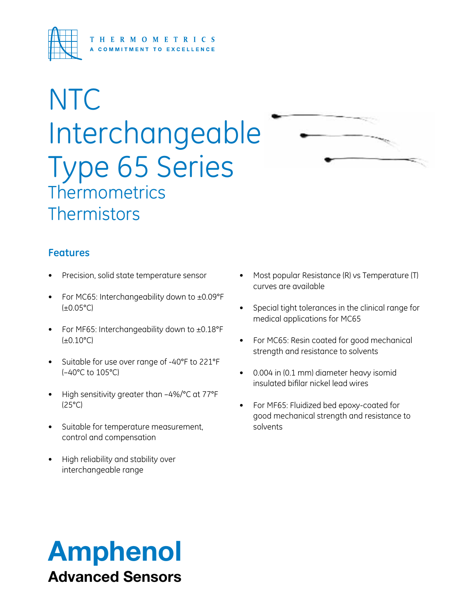

# **NTC** Interchangeable Type 65 Series **Thermometrics Thermistors**



- Precision, solid state temperature sensor
- For MC65: Interchangeability down to  $\pm$ 0.09°F  $(\pm 0.05^{\circ}C)$
- For MF65: Interchangeability down to  $\pm 0.18^{\circ}$ F (±0.10°C)
- Suitable for use over range of -40°F to 221°F (–40°C to 105°C)
- High sensitivity greater than -4%/°C at 77°F (25°C)
- • Suitable for temperature measurement, control and compensation
- High reliability and stability over interchangeable range
- Most popular Resistance (R) vs Temperature (T) curves are available
- Special tight tolerances in the clinical range for medical applications for MC65
- For MC65: Resin coated for good mechanical strength and resistance to solvents
- • 0.004 in (0.1 mm) diameter heavy isomid insulated bifilar nickel lead wires
- For MF65: Fluidized bed epoxy-coated for good mechanical strength and resistance to solvents

## Amphenol Advanced Sensors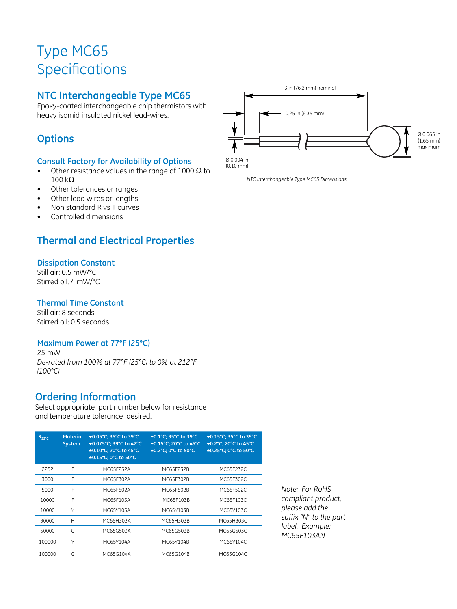### Type MC65 **Specifications**

### **NTC Interchangeable Type MC65**

Epoxy-coated interchangeable chip thermistors with heavy isomid insulated nickel lead-wires.

### **Options**

### **Consult Factory for Availability of Options**

- Other resistance values in the range of 1000  $\Omega$  to 100 kΩ
- Other tolerances or ranges
- Other lead wires or lengths
- Non standard R vs T curves
- Controlled dimensions

### **Thermal and Electrical Properties**

### **Dissipation Constant**

Still air: 0.5 mW/°C Stirred oil: 4 mW/°C

#### **Thermal Time Constant**

Still air: 8 seconds Stirred oil: 0.5 seconds

### **Maximum Power at 77°F (25°C)**

25 mW *De-rated from 100% at 77°F (25°C) to 0% at 212°F (100°C)*

### **Ordering Information**

Select appropriate part number below for resistance and temperature tolerance desired.

| $R_{25^{\circ}C}$ | <b>Material</b><br><b>System</b> | ±0.05°C; 35°C to 39°C<br>±0.075°C: 39°C to 42°C<br>±0.10°C: 20°C to 45°C<br>±0.15°C; 0°C to 50°C | ±0.1°C; 35°C to 39°C<br>±0.15°C: 20°C to 45°C<br>±0.2°C: 0°C to 50°C | ±0.15°C; 35°C to 39°C<br>±0.2°C: 20°C to 45°C<br>±0.25°C: 0°C to 50°C |
|-------------------|----------------------------------|--------------------------------------------------------------------------------------------------|----------------------------------------------------------------------|-----------------------------------------------------------------------|
| 2252              | F                                | MC65F232A                                                                                        | MC65F232B                                                            | MC65F232C                                                             |
| 3000              | F                                | MC65F302A                                                                                        | MC65F302B                                                            | MC65F302C                                                             |
| 5000              | F                                | MC65F502A                                                                                        | MC65F502B                                                            | MC65F502C                                                             |
| 10000             | F                                | MC65F103A                                                                                        | MC65F103B                                                            | MC65F103C                                                             |
| 10000             | Υ                                | MC65Y103A                                                                                        | MC65Y103B                                                            | MC65Y103C                                                             |
| 30000             | Н                                | MC65H303A                                                                                        | MC65H303B                                                            | MC65H303C                                                             |
| 50000             | G                                | MC65G503A                                                                                        | MC65G503B                                                            | MC65G503C                                                             |
| 100000            | Υ                                | MC65Y104A                                                                                        | MC65Y104B                                                            | MC65Y104C                                                             |
| 100000            | G                                | MC65G104A                                                                                        | MC65G104B                                                            | MC65G104C                                                             |

*Note: For RoHS compliant product, please add the suffix "N" to the part label. Example: MC65F103AN*



(0.10 mm)

*NTC Interchangeable Type MC65 Dimensions*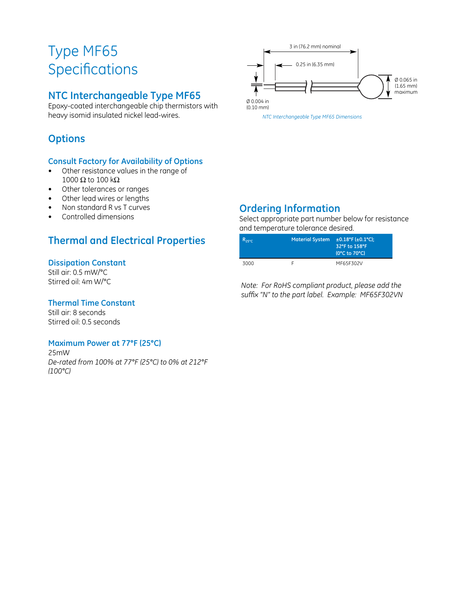### Type MF65 **Specifications**

### **NTC Interchangeable Type MF65**

Epoxy-coated interchangeable chip thermistors with heavy isomid insulated nickel lead-wires.

### **Options**

### **Consult Factory for Availability of Options**

- • Other resistance values in the range of 1000  $\Omega$  to 100 k $\Omega$
- • Other tolerances or ranges
- • Other lead wires or lengths
- Non standard R vs T curves
- Controlled dimensions

### **Thermal and Electrical Properties**

### **Dissipation Constant**

Still air: 0.5 mW/°C Stirred oil: 4m W/°C

### **Thermal Time Constant**

Still air: 8 seconds Stirred oil: 0.5 seconds

### **Maximum Power at 77°F (25°C)**

25mW *De-rated from 100% at 77°F (25°C) to 0% at 212°F (100°C)*



### **Ordering Information**

Select appropriate part number below for resistance and temperature tolerance desired.

| $R_{25^{\circ}C}$ | <b>Material System</b> | $\pm$ 0.18°F ( $\pm$ 0.1°C):<br>32°F to 158°F<br>(0°C to 70°C) |
|-------------------|------------------------|----------------------------------------------------------------|
| 3000              |                        | MF65F302V                                                      |

*Note: For RoHS compliant product, please add the suffix "N" to the part label. Example: MF65F302VN*